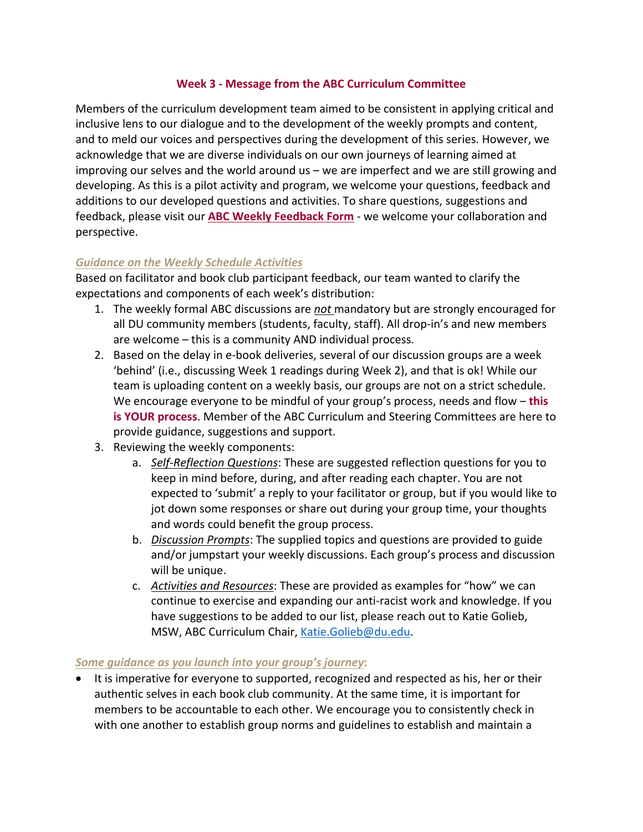## **Week 3 - Message from the ABC Curriculum Committee**

Members of the curriculum development team aimed to be consistent in applying critical and inclusive lens to our dialogue and to the development of the weekly prompts and content, and to meld our voices and perspectives during the development of this series. However, we acknowledge that we are diverse individuals on our own journeys of learning aimed at improving our selves and the world around us – we are imperfect and we are still growing and developing. As this is a pilot activity and program, we welcome your questions, feedback and additions to our developed questions and activities. To share questions, suggestions and feedback, please visit our **ABC Weekly Feedback Form** - we welcome your collaboration and perspective.

## *Guidance on the Weekly Schedule Activities*

Based on facilitator and book club participant feedback, our team wanted to clarify the expectations and components of each week's distribution:

- 1. The weekly formal ABC discussions are *not* mandatory but are strongly encouraged for all DU community members (students, faculty, staff). All drop-in's and new members are welcome – this is a community AND individual process.
- 2. Based on the delay in e-book deliveries, several of our discussion groups are a week 'behind' (i.e., discussing Week 1 readings during Week 2), and that is ok! While our team is uploading content on a weekly basis, our groups are not on a strict schedule. We encourage everyone to be mindful of your group's process, needs and flow – **this is YOUR process**. Member of the ABC Curriculum and Steering Committees are here to provide guidance, suggestions and support.
- 3. Reviewing the weekly components:
	- a. *Self-Reflection Questions*: These are suggested reflection questions for you to keep in mind before, during, and after reading each chapter. You are not expected to 'submit' a reply to your facilitator or group, but if you would like to jot down some responses or share out during your group time, your thoughts and words could benefit the group process.
	- b. *Discussion Prompts*: The supplied topics and questions are provided to guide and/or jumpstart your weekly discussions. Each group's process and discussion will be unique.
	- c. *Activities and Resources*: These are provided as examples for "how" we can continue to exercise and expanding our anti-racist work and knowledge. If you have suggestions to be added to our list, please reach out to Katie Golieb, MSW, ABC Curriculum Chair, Katie.Golieb@du.edu.

## *Some guidance as you launch into your group's journey***:**

• It is imperative for everyone to supported, recognized and respected as his, her or their authentic selves in each book club community. At the same time, it is important for members to be accountable to each other. We encourage you to consistently check in with one another to establish group norms and guidelines to establish and maintain a